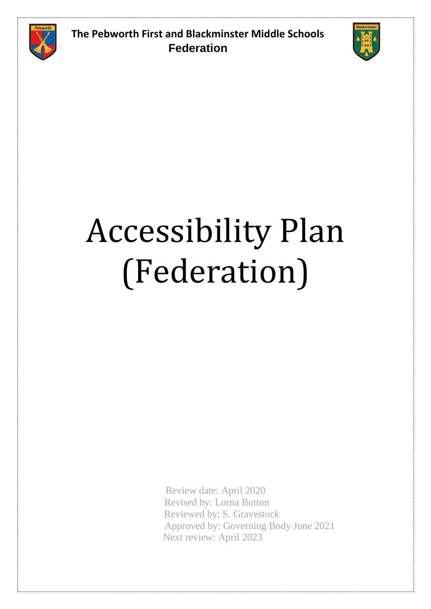



## Accessibility Plan (Federation)

Review date: April 2020 Revised by: Lorna Button Reviewed by: S. Gravestock Approved by: Governing Body June 2021 Next review: April 2023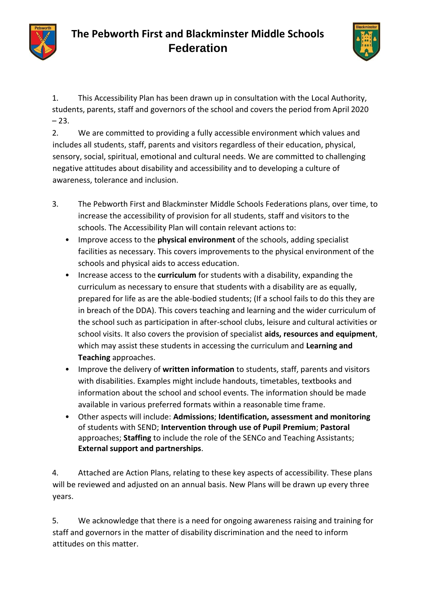



1. This Accessibility Plan has been drawn up in consultation with the Local Authority, students, parents, staff and governors of the school and covers the period from April 2020  $-23.$ 

2. We are committed to providing a fully accessible environment which values and includes all students, staff, parents and visitors regardless of their education, physical, sensory, social, spiritual, emotional and cultural needs. We are committed to challenging negative attitudes about disability and accessibility and to developing a culture of awareness, tolerance and inclusion.

- 3. The Pebworth First and Blackminster Middle Schools Federations plans, over time, to increase the accessibility of provision for all students, staff and visitors to the schools. The Accessibility Plan will contain relevant actions to:
	- Improve access to the **physical environment** of the schools, adding specialist facilities as necessary. This covers improvements to the physical environment of the schools and physical aids to access education.
	- Increase access to the **curriculum** for students with a disability, expanding the curriculum as necessary to ensure that students with a disability are as equally, prepared for life as are the able-bodied students; (If a school fails to do this they are in breach of the DDA). This covers teaching and learning and the wider curriculum of the school such as participation in after-school clubs, leisure and cultural activities or school visits. It also covers the provision of specialist **aids, resources and equipment**, which may assist these students in accessing the curriculum and **Learning and Teaching** approaches.
	- Improve the delivery of **written information** to students, staff, parents and visitors with disabilities. Examples might include handouts, timetables, textbooks and information about the school and school events. The information should be made available in various preferred formats within a reasonable time frame.
	- Other aspects will include: **Admissions**; **Identification, assessment and monitoring**  of students with SEND; **Intervention through use of Pupil Premium**; **Pastoral**  approaches; **Staffing** to include the role of the SENCo and Teaching Assistants; **External support and partnerships**.

4. Attached are Action Plans, relating to these key aspects of accessibility. These plans will be reviewed and adjusted on an annual basis. New Plans will be drawn up every three years.

5. We acknowledge that there is a need for ongoing awareness raising and training for staff and governors in the matter of disability discrimination and the need to inform attitudes on this matter.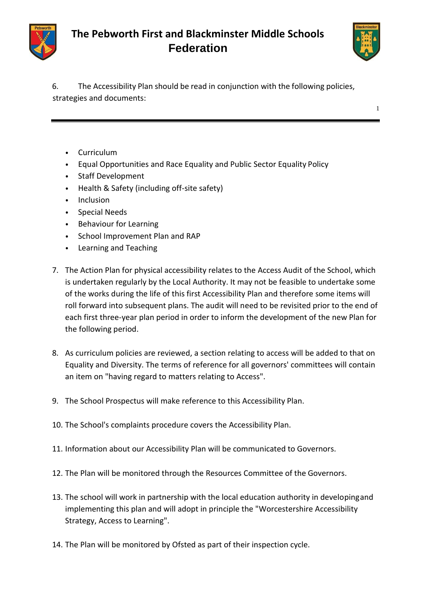



1

6. The Accessibility Plan should be read in conjunction with the following policies, strategies and documents:

- Curriculum
- Equal Opportunities and Race Equality and Public Sector Equality Policy
- Staff Development
- Health & Safety (including off-site safety)
- Inclusion
- Special Needs
- Behaviour for Learning
- School Improvement Plan and RAP
- Learning and Teaching
- 7. The Action Plan for physical accessibility relates to the Access Audit of the School, which is undertaken regularly by the Local Authority. It may not be feasible to undertake some of the works during the life of this first Accessibility Plan and therefore some items will roll forward into subsequent plans. The audit will need to be revisited prior to the end of each first three-year plan period in order to inform the development of the new Plan for the following period.
- 8. As curriculum policies are reviewed, a section relating to access will be added to that on Equality and Diversity. The terms of reference for all governors' committees will contain an item on "having regard to matters relating to Access".
- 9. The School Prospectus will make reference to this Accessibility Plan.
- 10. The School's complaints procedure covers the Accessibility Plan.
- 11. Information about our Accessibility Plan will be communicated to Governors.
- 12. The Plan will be monitored through the Resources Committee of the Governors.
- 13. The school will work in partnership with the local education authority in developingand implementing this plan and will adopt in principle the "Worcestershire Accessibility Strategy, Access to Learning".
- 14. The Plan will be monitored by Ofsted as part of their inspection cycle.